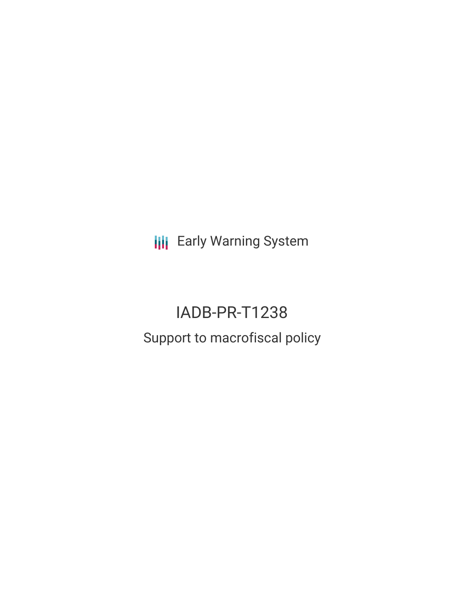**III** Early Warning System

# IADB-PR-T1238 Support to macrofiscal policy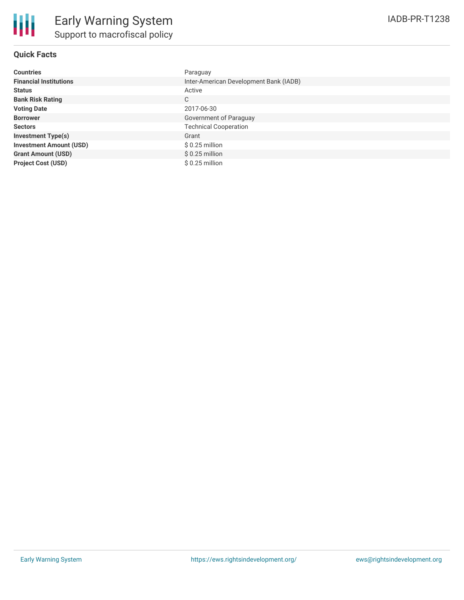

## **Quick Facts**

| <b>Countries</b>               | Paraguay                               |
|--------------------------------|----------------------------------------|
| <b>Financial Institutions</b>  | Inter-American Development Bank (IADB) |
| <b>Status</b>                  | Active                                 |
| <b>Bank Risk Rating</b>        | C                                      |
| <b>Voting Date</b>             | 2017-06-30                             |
| <b>Borrower</b>                | Government of Paraguay                 |
| <b>Sectors</b>                 | <b>Technical Cooperation</b>           |
| <b>Investment Type(s)</b>      | Grant                                  |
| <b>Investment Amount (USD)</b> | \$ 0.25 million                        |
| <b>Grant Amount (USD)</b>      | $$0.25$ million                        |
| <b>Project Cost (USD)</b>      | $$0.25$ million                        |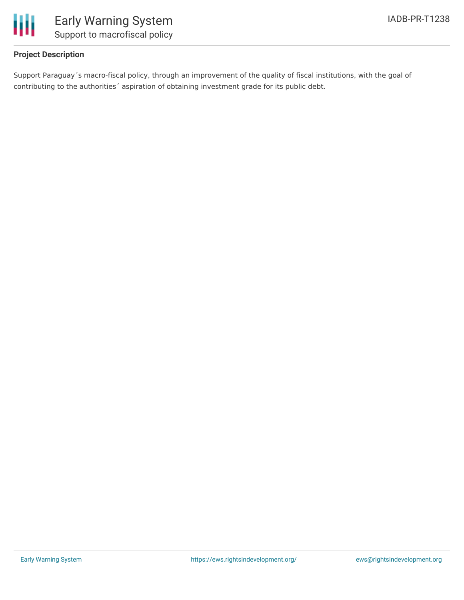

## **Project Description**

Support Paraguay´s macro-fiscal policy, through an improvement of the quality of fiscal institutions, with the goal of contributing to the authorities´ aspiration of obtaining investment grade for its public debt.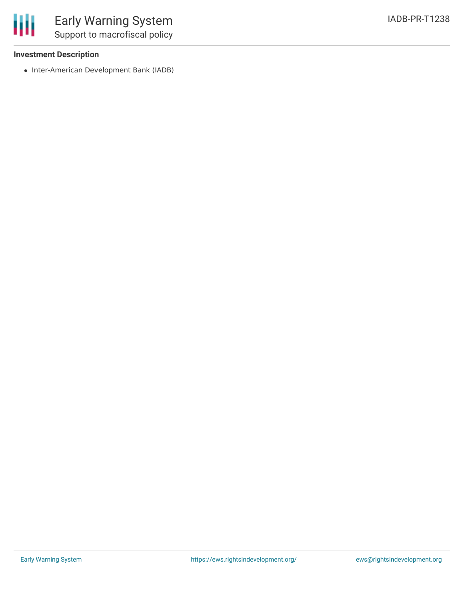### **Investment Description**

• Inter-American Development Bank (IADB)